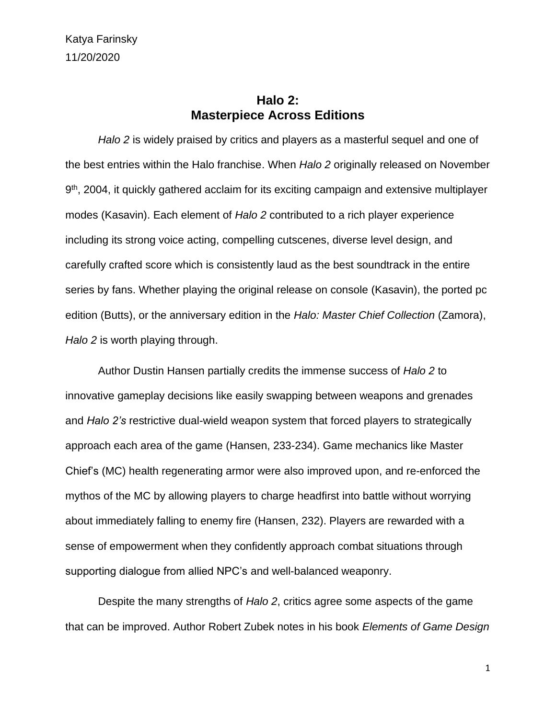Katya Farinsky 11/20/2020

## **Halo 2: Masterpiece Across Editions**

*Halo 2* is widely praised by critics and players as a masterful sequel and one of the best entries within the Halo franchise. When *Halo 2* originally released on November 9<sup>th</sup>, 2004, it quickly gathered acclaim for its exciting campaign and extensive multiplayer modes (Kasavin). Each element of *Halo 2* contributed to a rich player experience including its strong voice acting, compelling cutscenes, diverse level design, and carefully crafted score which is consistently laud as the best soundtrack in the entire series by fans. Whether playing the original release on console (Kasavin), the ported pc edition (Butts), or the anniversary edition in the *Halo: Master Chief Collection* (Zamora), *Halo 2* is worth playing through.

Author Dustin Hansen partially credits the immense success of *Halo 2* to innovative gameplay decisions like easily swapping between weapons and grenades and *Halo 2's* restrictive dual-wield weapon system that forced players to strategically approach each area of the game (Hansen, 233-234). Game mechanics like Master Chief's (MC) health regenerating armor were also improved upon, and re-enforced the mythos of the MC by allowing players to charge headfirst into battle without worrying about immediately falling to enemy fire (Hansen, 232). Players are rewarded with a sense of empowerment when they confidently approach combat situations through supporting dialogue from allied NPC's and well-balanced weaponry.

Despite the many strengths of *Halo 2*, critics agree some aspects of the game that can be improved. Author Robert Zubek notes in his book *Elements of Game Design*

1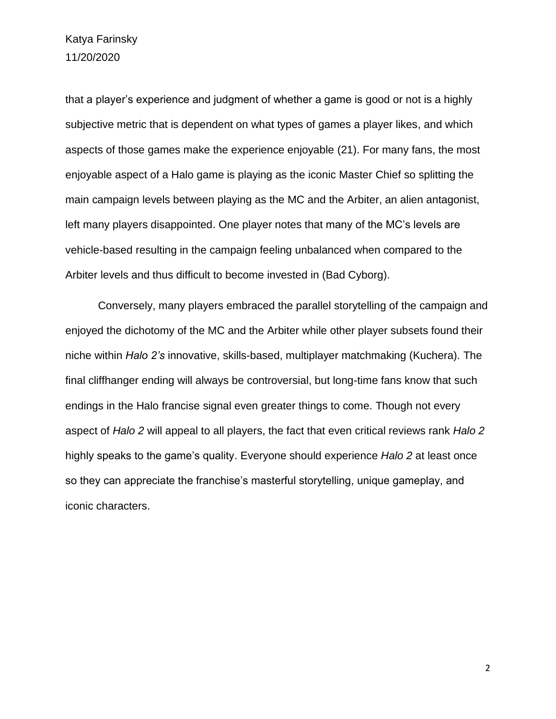Katya Farinsky 11/20/2020

that a player's experience and judgment of whether a game is good or not is a highly subjective metric that is dependent on what types of games a player likes, and which aspects of those games make the experience enjoyable (21). For many fans, the most enjoyable aspect of a Halo game is playing as the iconic Master Chief so splitting the main campaign levels between playing as the MC and the Arbiter, an alien antagonist, left many players disappointed. One player notes that many of the MC's levels are vehicle-based resulting in the campaign feeling unbalanced when compared to the Arbiter levels and thus difficult to become invested in (Bad Cyborg).

Conversely, many players embraced the parallel storytelling of the campaign and enjoyed the dichotomy of the MC and the Arbiter while other player subsets found their niche within *Halo 2's* innovative, skills-based, multiplayer matchmaking (Kuchera). The final cliffhanger ending will always be controversial, but long-time fans know that such endings in the Halo francise signal even greater things to come. Though not every aspect of *Halo 2* will appeal to all players, the fact that even critical reviews rank *Halo 2* highly speaks to the game's quality. Everyone should experience *Halo 2* at least once so they can appreciate the franchise's masterful storytelling, unique gameplay, and iconic characters.